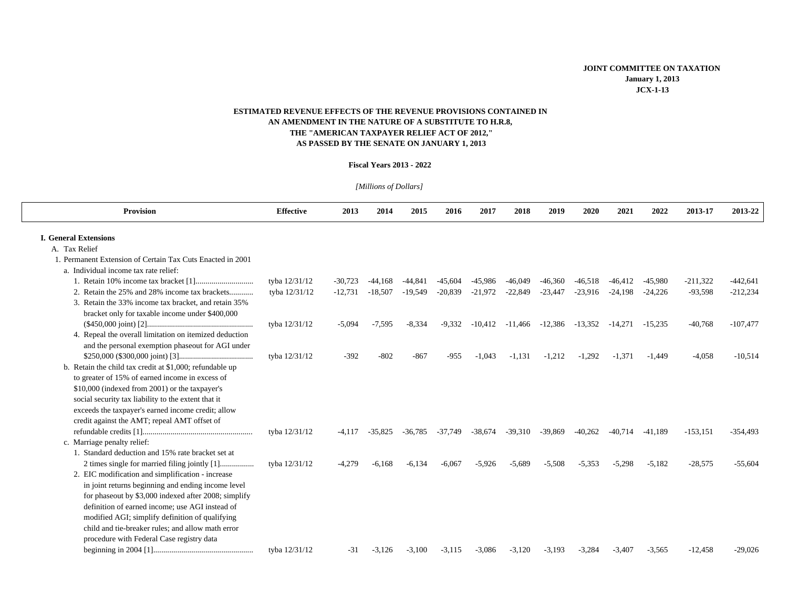## **AN AMENDMENT IN THE NATURE OF A SUBSTITUTE TO H.R.8, ESTIMATED REVENUE EFFECTS OF THE REVENUE PROVISIONS CONTAINED IN THE "AMERICAN TAXPAYER RELIEF ACT OF 2012," AS PASSED BY THE SENATE ON JANUARY 1, 2013**

## **Fiscal Years 2013 - 2022**

| [Millions of Dollars]                                                                                     |                  |           |           |           |           |           |           |           |                               |           |           |            |            |
|-----------------------------------------------------------------------------------------------------------|------------------|-----------|-----------|-----------|-----------|-----------|-----------|-----------|-------------------------------|-----------|-----------|------------|------------|
| Provision                                                                                                 | <b>Effective</b> | 2013      | 2014      | 2015      | 2016      | 2017      | 2018      | 2019      | 2020                          | 2021      | 2022      | 2013-17    | 2013-22    |
| <b>I. General Extensions</b>                                                                              |                  |           |           |           |           |           |           |           |                               |           |           |            |            |
| A. Tax Relief                                                                                             |                  |           |           |           |           |           |           |           |                               |           |           |            |            |
| 1. Permanent Extension of Certain Tax Cuts Enacted in 2001<br>a. Individual income tax rate relief:       |                  |           |           |           |           |           |           |           |                               |           |           |            |            |
|                                                                                                           | tyba 12/31/12    | $-30,723$ | -44.168   | -44.841   | $-45.604$ | -45,986   | $-46,049$ | $-46,360$ | $-46,518$                     | -46.412   | -45.980   | $-211,322$ | $-442,641$ |
| 2. Retain the 25% and 28% income tax brackets                                                             | tyba 12/31/12    | $-12,731$ | $-18,507$ | $-19,549$ | $-20,839$ | $-21,972$ | $-22,849$ | $-23,447$ | $-23,916$                     | $-24,198$ | $-24,226$ | $-93,598$  | $-212,234$ |
| 3. Retain the 33% income tax bracket, and retain 35%                                                      |                  |           |           |           |           |           |           |           |                               |           |           |            |            |
| bracket only for taxable income under \$400,000                                                           |                  |           |           |           |           |           |           |           |                               |           |           |            |            |
|                                                                                                           | tyba 12/31/12    | $-5,094$  | $-7,595$  | $-8,334$  | $-9.332$  | $-10,412$ | $-11,466$ |           | $-12,386$ $-13,352$ $-14,271$ |           | $-15.235$ | $-40,768$  | $-107,477$ |
| 4. Repeal the overall limitation on itemized deduction                                                    |                  |           |           |           |           |           |           |           |                               |           |           |            |            |
| and the personal exemption phaseout for AGI under                                                         |                  |           |           |           |           |           |           |           |                               |           |           |            |            |
|                                                                                                           | tyba 12/31/12    | $-392$    | $-802$    | $-867$    | $-955$    | $-1,043$  | $-1,131$  | $-1,212$  | $-1,292$                      | $-1,371$  | $-1,449$  | $-4,058$   | $-10,514$  |
| b. Retain the child tax credit at \$1,000; refundable up                                                  |                  |           |           |           |           |           |           |           |                               |           |           |            |            |
| to greater of 15% of earned income in excess of<br>\$10,000 (indexed from 2001) or the taxpayer's         |                  |           |           |           |           |           |           |           |                               |           |           |            |            |
|                                                                                                           |                  |           |           |           |           |           |           |           |                               |           |           |            |            |
| social security tax liability to the extent that it<br>exceeds the taxpayer's earned income credit; allow |                  |           |           |           |           |           |           |           |                               |           |           |            |            |
| credit against the AMT; repeal AMT offset of                                                              |                  |           |           |           |           |           |           |           |                               |           |           |            |            |
|                                                                                                           | tyba 12/31/12    | $-4,117$  | $-35,825$ | $-36,785$ | -37,749   | -38,674   | $-39,310$ | -39,869   | $-40,262$                     | $-40,714$ | $-41,189$ | $-153,151$ | $-354,493$ |
| c. Marriage penalty relief:                                                                               |                  |           |           |           |           |           |           |           |                               |           |           |            |            |
| 1. Standard deduction and 15% rate bracket set at                                                         |                  |           |           |           |           |           |           |           |                               |           |           |            |            |
|                                                                                                           | tyba 12/31/12    | $-4,279$  | $-6.168$  | $-6.134$  | $-6.067$  | $-5,926$  | $-5,689$  | $-5,508$  | $-5,353$                      | $-5,298$  | $-5,182$  | $-28,575$  | $-55,604$  |
| 2. EIC modification and simplification - increase                                                         |                  |           |           |           |           |           |           |           |                               |           |           |            |            |
| in joint returns beginning and ending income level                                                        |                  |           |           |           |           |           |           |           |                               |           |           |            |            |
| for phaseout by \$3,000 indexed after 2008; simplify                                                      |                  |           |           |           |           |           |           |           |                               |           |           |            |            |
| definition of earned income: use AGI instead of                                                           |                  |           |           |           |           |           |           |           |                               |           |           |            |            |
| modified AGI; simplify definition of qualifying                                                           |                  |           |           |           |           |           |           |           |                               |           |           |            |            |
| child and tie-breaker rules; and allow math error                                                         |                  |           |           |           |           |           |           |           |                               |           |           |            |            |
| procedure with Federal Case registry data                                                                 |                  |           |           |           |           |           |           |           |                               |           |           |            |            |
|                                                                                                           | tyba 12/31/12    | $-31$     | $-3.126$  | $-3.100$  | $-3.115$  | $-3.086$  | $-3.120$  | $-3,193$  | $-3.284$                      | $-3.407$  | $-3.565$  | $-12.458$  | $-29.026$  |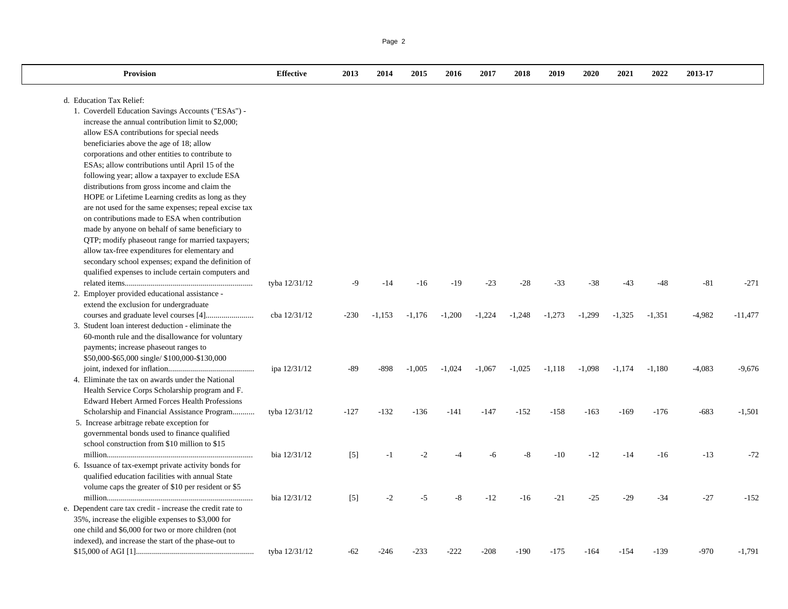| <b>Provision</b>                                           | <b>Effective</b> | 2013   | 2014     | 2015     | 2016     | 2017     | 2018     | 2019     | 2020     | 2021     | 2022     | 2013-17  |           |
|------------------------------------------------------------|------------------|--------|----------|----------|----------|----------|----------|----------|----------|----------|----------|----------|-----------|
| d. Education Tax Relief:                                   |                  |        |          |          |          |          |          |          |          |          |          |          |           |
| 1. Coverdell Education Savings Accounts ("ESAs") -         |                  |        |          |          |          |          |          |          |          |          |          |          |           |
| increase the annual contribution limit to \$2,000;         |                  |        |          |          |          |          |          |          |          |          |          |          |           |
| allow ESA contributions for special needs                  |                  |        |          |          |          |          |          |          |          |          |          |          |           |
| beneficiaries above the age of 18; allow                   |                  |        |          |          |          |          |          |          |          |          |          |          |           |
| corporations and other entities to contribute to           |                  |        |          |          |          |          |          |          |          |          |          |          |           |
| ESAs; allow contributions until April 15 of the            |                  |        |          |          |          |          |          |          |          |          |          |          |           |
| following year; allow a taxpayer to exclude ESA            |                  |        |          |          |          |          |          |          |          |          |          |          |           |
| distributions from gross income and claim the              |                  |        |          |          |          |          |          |          |          |          |          |          |           |
| HOPE or Lifetime Learning credits as long as they          |                  |        |          |          |          |          |          |          |          |          |          |          |           |
| are not used for the same expenses; repeal excise tax      |                  |        |          |          |          |          |          |          |          |          |          |          |           |
| on contributions made to ESA when contribution             |                  |        |          |          |          |          |          |          |          |          |          |          |           |
| made by anyone on behalf of same beneficiary to            |                  |        |          |          |          |          |          |          |          |          |          |          |           |
| QTP; modify phaseout range for married taxpayers;          |                  |        |          |          |          |          |          |          |          |          |          |          |           |
| allow tax-free expenditures for elementary and             |                  |        |          |          |          |          |          |          |          |          |          |          |           |
| secondary school expenses; expand the definition of        |                  |        |          |          |          |          |          |          |          |          |          |          |           |
| qualified expenses to include certain computers and        |                  |        |          |          |          |          |          |          |          |          |          |          |           |
|                                                            | tyba 12/31/12    | -9     | $-14$    | $-16$    | $-19$    | $-23$    | $-28$    | $-33$    | $-38$    | $-43$    | $-48$    | $-81$    | $-271$    |
| 2. Employer provided educational assistance -              |                  |        |          |          |          |          |          |          |          |          |          |          |           |
| extend the exclusion for undergraduate                     | cba 12/31/12     | $-230$ |          |          | $-1,200$ | $-1,224$ |          | $-1,273$ | $-1,299$ | $-1,325$ | $-1,351$ | $-4,982$ |           |
| 3. Student loan interest deduction - eliminate the         |                  |        | $-1,153$ | $-1,176$ |          |          | $-1,248$ |          |          |          |          |          | $-11,477$ |
| 60-month rule and the disallowance for voluntary           |                  |        |          |          |          |          |          |          |          |          |          |          |           |
| payments; increase phaseout ranges to                      |                  |        |          |          |          |          |          |          |          |          |          |          |           |
| \$50,000-\$65,000 single/ \$100,000-\$130,000              |                  |        |          |          |          |          |          |          |          |          |          |          |           |
|                                                            | ipa 12/31/12     | -89    | $-898$   | $-1,005$ | $-1,024$ | $-1,067$ | $-1,025$ | $-1,118$ | $-1,098$ | $-1,174$ | $-1,180$ | $-4,083$ | $-9,676$  |
| 4. Eliminate the tax on awards under the National          |                  |        |          |          |          |          |          |          |          |          |          |          |           |
| Health Service Corps Scholarship program and F.            |                  |        |          |          |          |          |          |          |          |          |          |          |           |
| <b>Edward Hebert Armed Forces Health Professions</b>       |                  |        |          |          |          |          |          |          |          |          |          |          |           |
| Scholarship and Financial Assistance Program               | tyba 12/31/12    | $-127$ | $-132$   | $-136$   | $-141$   | $-147$   | $-152$   | $-158$   | $-163$   | $-169$   | $-176$   | $-683$   | $-1,501$  |
| 5. Increase arbitrage rebate exception for                 |                  |        |          |          |          |          |          |          |          |          |          |          |           |
| governmental bonds used to finance qualified               |                  |        |          |          |          |          |          |          |          |          |          |          |           |
| school construction from \$10 million to \$15              |                  |        |          |          |          |          |          |          |          |          |          |          |           |
|                                                            | bia 12/31/12     | $[5]$  | $-1$     | $-2$     | $-4$     | -6       | -8       | $-10$    | $-12$    | $-14$    | $-16$    | $-13$    | $-72$     |
| 6. Issuance of tax-exempt private activity bonds for       |                  |        |          |          |          |          |          |          |          |          |          |          |           |
| qualified education facilities with annual State           |                  |        |          |          |          |          |          |          |          |          |          |          |           |
| volume caps the greater of \$10 per resident or \$5        |                  |        |          |          |          |          |          |          |          |          |          |          |           |
|                                                            | bia 12/31/12     | $[5]$  | $-2$     | $-5$     | $-8$     | $-12$    | $-16$    | $-21$    | $-25$    | $-29$    | $-34$    | $-27$    | $-152$    |
| e. Dependent care tax credit - increase the credit rate to |                  |        |          |          |          |          |          |          |          |          |          |          |           |
| 35%, increase the eligible expenses to \$3,000 for         |                  |        |          |          |          |          |          |          |          |          |          |          |           |
| one child and \$6,000 for two or more children (not        |                  |        |          |          |          |          |          |          |          |          |          |          |           |
| indexed), and increase the start of the phase-out to       |                  |        |          |          |          |          |          |          |          |          |          |          |           |
|                                                            | tyba 12/31/12    | $-62$  | $-246$   | $-233$   | $-222$   | $-208$   | $-190$   | $-175$   | $-164$   | $-154$   | $-139$   | $-970$   | $-1,791$  |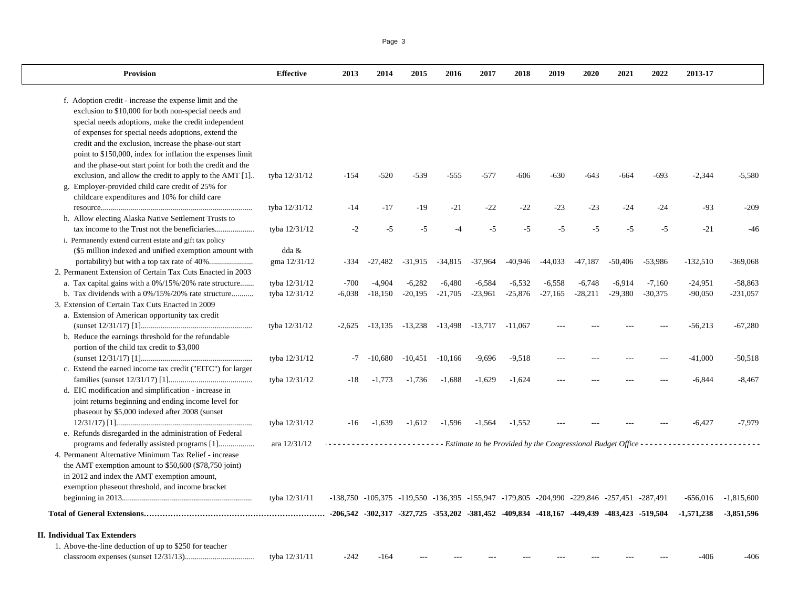f. Adoption credit - increase the expense limit and the exclusion to \$10,000 for both non-special needs and special needs adoptions, make the credit independent of expenses for special needs adoptions, extend the credit and the exclusion, increase the phase-out start point to \$150,000, index for inflation the expenses limit and the phase-out start point for both the credit and the exclusion, and allow the credit to apply to the AMT [1].. tyba 12/31/12 -154 -520 -539 -555 -577 -606 -630 -643 -664 -693 -2,344 -5,580 g. Employer-provided child care credit of 25% for childcare expenditures and 10% for child care resource............................................................................ tyba 12/31/12 -14 -17 -19 -21 -22 -22 -23 -23 -24 -24 -93 -209 h. Allow electing Alaska Native Settlement Trusts to tax income to the Trust not the beneficiaries.................... tyba 12/31/12 -2 -5 -5 -4 -5 -5 -5 -5 -5 -5 -21 -46 i. Permanently extend current estate and gift tax policy (\$5 million indexed and unified exemption amount with dda & portability) but with a top tax rate of 40%...................... gma 12/31/12 -334 -27,482 -31,915 -34,815 -37,964 -40,946 -44,033 -47,187 -50,406 -53,986 -132,510 -369,068 2. Permanent Extension of Certain Tax Cuts Enacted in 2003 a. Tax capital gains with a 0%/15%/20% rate structure....... tyba 12/31/12 -700 -4,904 -6,282 -6,480 -6,584 -6,532 -6,558 -6,748 -6,914 -7,160 -24,951 -58,863 b. Tax dividends with a 0%/15%/20% rate structure........... tyba 12/31/12 -6,038 -18,150 -20,195 -21,705 -23,961 -25,876 -27,165 -28,211 -29,380 -30,375 -90,050 -231,057 3. Extension of Certain Tax Cuts Enacted in 2009a. Extension of American opportunity tax credit (sunset 12/31/17) [1]........................................................ tyba 12/31/12 -2,625 -13,135 -13,238 -13,498 -13,717 -11,067 --- --- --- --- -56,213 -67,280 b. Reduce the earnings threshold for the refundable portion of the child tax credit to \$3,000 (sunset 12/31/17) [1]........................................................ tyba 12/31/12 -7 -10,680 -10,451 -10,166 -9,696 -9,518 --- --- --- --- -41,000 -50,518 c. Extend the earned income tax credit ("EITC") for larger families (sunset 12/31/17) [1].......................................... tyba 12/31/12 -18 -1,773 -1,736 -1,688 -1,629 -1,624 --- --- --- --- -6,844 -8,467 d. EIC modification and simplification - increase in joint returns beginning and ending income level for phaseout by \$5,000 indexed after 2008 (sunset 12/31/17) [1].................................................................... tyba 12/31/12 -16 -1,639 -1,612 -1,596 -1,564 -1,552 --- --- --- --- -6,427 -7,979 e. Refunds disregarded in the administration of Federal programs and federally assisted programs [1].................. ara 12/31/12 4. Permanent Alternative Minimum Tax Relief - increasethe AMT exemption amount to \$50,600 (\$78,750 joint) in 2012 and index the AMT exemption amount, exemption phaseout threshold, and income bracket beginning in 2013................................................................. tyba 12/31/11 -138,750 -105,375 -119,550 -136,395 -155,947 -179,805 -204,990 -229,846 -257,451 -287,491 -656,016 -1,815,600 73,851,596 -1,571,238 -3,851,596 -3,851,596 -3,851,596 -3,851,596 -3,851,896 -4,81,452 -409,834 -409,834 -418,167 -449,439 -483,423 -519,504 -1,571,238 -3,851,596 -3,851,596 -3,851,596 -4, **II. Individual Tax Extenders**1. Above-the-line deduction of up to \$250 for teacher *- - - - - - - - - - - - - - - - - - - - - - - - - - Estimate to be Provided by the Congressional Budget Office - - - - - - - - - - - - - - - - - - - - - - - - - -* 

## classroom expenses (sunset 12/31/13)................................... tyba 12/31/11 -242 -164 --- --- --- --- --- --- --- --- -406 -406

Provision Effective 2013 2014 2015 2016 2017 2018 2019 2020 2021 2022 2013-17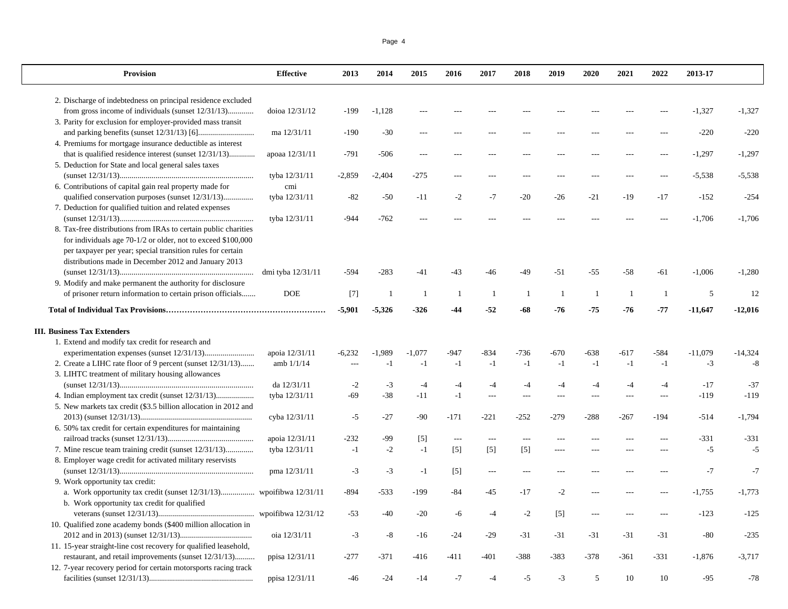| <b>Provision</b>                                                                                                    | <b>Effective</b>  | 2013     | 2014     | 2015           | 2016                 | 2017           | 2018           | 2019           | 2020   | 2021   | 2022   | 2013-17   |           |
|---------------------------------------------------------------------------------------------------------------------|-------------------|----------|----------|----------------|----------------------|----------------|----------------|----------------|--------|--------|--------|-----------|-----------|
| 2. Discharge of indebtedness on principal residence excluded                                                        |                   |          |          |                |                      |                |                |                |        |        |        |           |           |
| from gross income of individuals (sunset 12/31/13)                                                                  | doioa 12/31/12    | $-199$   | $-1,128$ |                |                      |                |                |                |        |        |        | $-1,327$  | $-1,327$  |
| 3. Parity for exclusion for employer-provided mass transit                                                          |                   |          |          |                |                      |                |                |                |        |        |        |           |           |
|                                                                                                                     | ma 12/31/11       | $-190$   | $-30$    | $- - -$        |                      |                |                | ---            |        |        |        | $-220$    | $-220$    |
| 4. Premiums for mortgage insurance deductible as interest                                                           |                   |          |          |                |                      |                |                |                |        |        |        |           |           |
| that is qualified residence interest (sunset 12/31/13)                                                              | apoaa 12/31/11    | $-791$   | $-506$   | $---$          |                      |                |                |                |        |        |        | $-1,297$  | $-1,297$  |
| 5. Deduction for State and local general sales taxes                                                                |                   |          |          |                |                      |                |                |                |        |        |        |           |           |
|                                                                                                                     | tyba 12/31/11     | $-2,859$ | $-2,404$ | $-275$         | $- - -$              | $- - -$        | $-$            | $---$          | $-$ -- |        |        | $-5,538$  | $-5,538$  |
| 6. Contributions of capital gain real property made for                                                             | cmi               |          |          |                |                      |                |                |                |        |        |        |           |           |
| qualified conservation purposes (sunset 12/31/13)                                                                   | tyba 12/31/11     | $-82$    | $-50$    | $-11$          | $-2$                 | $-7$           | $-20$          | $-26$          | $-21$  | $-19$  | $-17$  | $-152$    | $-254$    |
| 7. Deduction for qualified tuition and related expenses                                                             |                   |          |          |                |                      |                |                |                |        |        |        |           |           |
|                                                                                                                     | tyba 12/31/11     | $-944$   | $-762$   | $\overline{a}$ |                      |                |                |                |        |        |        | $-1,706$  | $-1,706$  |
| 8. Tax-free distributions from IRAs to certain public charities                                                     |                   |          |          |                |                      |                |                |                |        |        |        |           |           |
| for individuals age 70-1/2 or older, not to exceed \$100,000                                                        |                   |          |          |                |                      |                |                |                |        |        |        |           |           |
| per taxpayer per year; special transition rules for certain                                                         |                   |          |          |                |                      |                |                |                |        |        |        |           |           |
| distributions made in December 2012 and January 2013                                                                |                   |          |          |                |                      |                |                |                |        |        |        |           |           |
|                                                                                                                     | dmi tyba 12/31/11 | $-594$   | $-283$   | $-41$          | $-43$                | -46            | $-49$          | $-51$          | $-55$  | $-58$  | $-61$  | $-1,006$  | $-1,280$  |
| 9. Modify and make permanent the authority for disclosure                                                           |                   |          |          |                |                      |                |                |                |        |        |        |           |           |
| of prisoner return information to certain prison officials                                                          | <b>DOE</b>        | $[7]$    |          | -1             | -1                   | -1             | $\overline{1}$ | $\overline{1}$ | -1     | -1     | -1     | 5         | 12        |
|                                                                                                                     |                   | $-5,901$ | $-5,326$ | $-326$         | -44                  | $-52$          | -68            | $-76$          | $-75$  | -76    | $-77$  | $-11,647$ | $-12,016$ |
| <b>III. Business Tax Extenders</b>                                                                                  |                   |          |          |                |                      |                |                |                |        |        |        |           |           |
| 1. Extend and modify tax credit for research and                                                                    |                   |          |          |                |                      |                |                |                |        |        |        |           |           |
|                                                                                                                     | apoia 12/31/11    | $-6,232$ | $-1,989$ | $-1.077$       | $-947$               | $-834$         | $-736$         | $-670$         | $-638$ | $-617$ | $-584$ | $-11,079$ | $-14,324$ |
| 2. Create a LIHC rate floor of 9 percent (sunset 12/31/13)                                                          | amb $1/1/14$      | $---$    | $-1$     | $-1$           | $-1$                 | $-1$           | $-1$           | $-1$           | $-1$   | $-1$   | $-1$   | $-3$      | $-8$      |
| 3. LIHTC treatment of military housing allowances                                                                   |                   |          |          |                |                      |                |                |                |        |        |        |           |           |
|                                                                                                                     | da 12/31/11       | $-2$     | $-3$     | $-4$           | $-4$                 | -4             | $-4$           | $-4$           | $-4$   | $-4$   | $-4$   | $-17$     | $-37$     |
|                                                                                                                     | tyba 12/31/11     | $-69$    | $-38$    | $-11$          | $-1$                 |                |                | $---$          | ---    |        |        | $-119$    | $-119$    |
| 5. New markets tax credit (\$3.5 billion allocation in 2012 and                                                     |                   |          |          |                |                      |                |                |                |        |        |        |           |           |
|                                                                                                                     | cyba 12/31/11     | $-5$     | $-27$    | $-90$          | $-171$               | $-221$         | -252           | $-279$         | $-288$ | -267   | $-194$ | $-514$    | $-1,794$  |
| 6. 50% tax credit for certain expenditures for maintaining                                                          |                   |          |          |                |                      |                |                |                |        |        |        |           |           |
|                                                                                                                     | apoia 12/31/11    | $-232$   | $-99$    | $[5]$          | $\scriptstyle\cdots$ | $\overline{a}$ | $---$          | ---            |        |        |        | $-331$    | $-331$    |
| 7. Mine rescue team training credit (sunset 12/31/13)                                                               | tyba 12/31/11     | $-1$     | $-2$     | $-1$           | $[5]$                | $[5]$          | $[5]$          | ----           |        |        |        | $-5$      | -5        |
| 8. Employer wage credit for activated military reservists                                                           |                   |          |          |                |                      |                |                |                |        |        |        |           |           |
|                                                                                                                     | pma 12/31/11      | $-3$     | $-3$     | $-1$           | $\lceil 5 \rceil$    | $---$          | $---$          | $---$          | $---$  | ---    |        | $-7$      | $-7$      |
| 9. Work opportunity tax credit:                                                                                     |                   |          |          |                |                      |                |                |                |        |        |        |           |           |
| a. Work opportunity tax credit (sunset 12/31/13) wpoifibwa 12/31/11<br>b. Work opportunity tax credit for qualified |                   | $-894$   | $-533$   | $-199$         | $-84$                | -45            | $-17$          | $-2$           |        |        |        | $-1,755$  | $-1,773$  |

veterans (sunset 12/31/13)................................................ wpoifibwa 12/31/12 -53 -40 -20 -6 -4 -2 [5] --- --- --- -123 -125

2012 and in 2013) (sunset 12/31/13).................................... oia 12/31/11 -3 -8 -16 -24 -29 -31 -31 -31 -31 -31 -80 -235

restaurant, and retail improvements (sunset 12/31/13).......... ppisa 12/31/11 -277 -371 -416 -411 -401 -388 -383 -378 -361 -331 -1,876 -3,717

facilities (sunset 12/31/13).................................................... ppisa 12/31/11 -46 -24 -14 -7 -4 -5 -3 5 10 10 -95 -78

10. Qualified zone academy bonds (\$400 million allocation in

11. 15-year straight-line cost recovery for qualified leasehold,

12. 7-year recovery period for certain motorsports racing track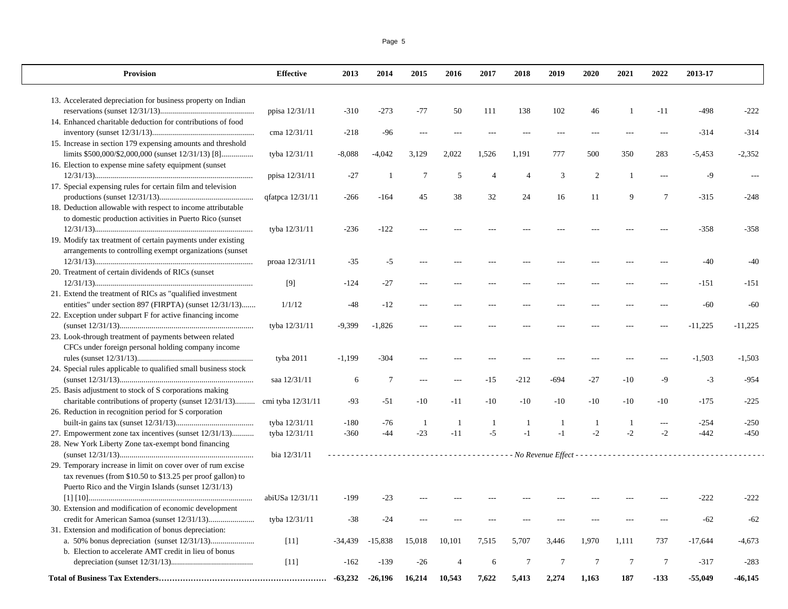| <b>Provision</b>                                               | <b>Effective</b>  | 2013      | 2014            | 2015           | 2016   | 2017           | 2018           | 2019            | 2020           | 2021         | 2022                     | 2013-17   |           |
|----------------------------------------------------------------|-------------------|-----------|-----------------|----------------|--------|----------------|----------------|-----------------|----------------|--------------|--------------------------|-----------|-----------|
| 13. Accelerated depreciation for business property on Indian   |                   |           |                 |                |        |                |                |                 |                |              |                          |           |           |
|                                                                | ppisa 12/31/11    | $-310$    | $-273$          | $-77$          | 50     | 111            | 138            | 102             | 46             | $\mathbf{1}$ | $-11$                    | $-498$    | $-222$    |
| 14. Enhanced charitable deduction for contributions of food    |                   |           |                 |                |        |                |                |                 |                |              |                          |           |           |
|                                                                | cma 12/31/11      | $-218$    | $-96$           | $\overline{a}$ |        |                | $\overline{a}$ | ---             |                |              | $\overline{a}$           | $-314$    | $-314$    |
| 15. Increase in section 179 expensing amounts and threshold    |                   |           |                 |                |        |                |                |                 |                |              |                          |           |           |
| limits \$500,000/\$2,000,000 (sunset 12/31/13) [8]             | tyba 12/31/11     | $-8,088$  | $-4,042$        | 3,129          | 2,022  | 1,526          | 1,191          | 777             | 500            | 350          | 283                      | $-5,453$  | $-2,352$  |
| 16. Election to expense mine safety equipment (sunset)         |                   |           |                 |                |        |                |                |                 |                |              |                          |           |           |
|                                                                | ppisa 12/31/11    | $-27$     | $\overline{1}$  | $\overline{7}$ | 5      | $\overline{4}$ | $\overline{4}$ | 3               | $\overline{2}$ | $\mathbf{1}$ | $---$                    | $-9$      |           |
| 17. Special expensing rules for certain film and television    |                   |           |                 |                |        |                |                |                 |                |              |                          |           |           |
|                                                                | qfatpca 12/31/11  | $-266$    | $-164$          | 45             | 38     | 32             | 24             | 16              | 11             | $\mathbf Q$  | $\tau$                   | $-315$    | $-248$    |
| 18. Deduction allowable with respect to income attributable    |                   |           |                 |                |        |                |                |                 |                |              |                          |           |           |
| to domestic production activities in Puerto Rico (sunset       |                   |           |                 |                |        |                |                |                 |                |              |                          |           |           |
|                                                                | tyba 12/31/11     | $-236$    | $-122$          | ---            |        |                |                |                 |                |              |                          | $-358$    | $-358$    |
| 19. Modify tax treatment of certain payments under existing    |                   |           |                 |                |        |                |                |                 |                |              |                          |           |           |
| arrangements to controlling exempt organizations (sunset       |                   |           |                 |                |        |                |                |                 |                |              |                          |           |           |
|                                                                | proaa 12/31/11    | $-35$     | $-5$            | ---            |        |                |                | ---             |                |              |                          | $-40$     | $-40$     |
| 20. Treatment of certain dividends of RICs (sunset)            |                   |           |                 |                |        |                |                |                 |                |              |                          |           |           |
|                                                                | [9]               | $-124$    | $-27$           | ---            |        |                |                |                 |                |              |                          | $-151$    | $-151$    |
| 21. Extend the treatment of RICs as "qualified investment"     |                   |           |                 |                |        |                |                |                 |                |              |                          |           |           |
| entities" under section 897 (FIRPTA) (sunset 12/31/13)         | 1/1/12            | $-48$     | $-12$           | $\overline{a}$ |        |                |                |                 |                |              |                          | $-60$     | $-60$     |
| 22. Exception under subpart F for active financing income      |                   |           |                 |                |        |                |                |                 |                |              |                          |           |           |
|                                                                | tyba 12/31/11     | $-9,399$  | $-1,826$        | ---            |        |                |                |                 |                |              | $\overline{a}$           | $-11,225$ | $-11,225$ |
| 23. Look-through treatment of payments between related         |                   |           |                 |                |        |                |                |                 |                |              |                          |           |           |
| CFCs under foreign personal holding company income             |                   |           |                 |                |        |                |                |                 |                |              |                          |           |           |
|                                                                | tyba 2011         | $-1,199$  | $-304$          | ---            |        | ---            | $\overline{a}$ | ---             |                |              | $---$                    | $-1,503$  | $-1,503$  |
| 24. Special rules applicable to qualified small business stock |                   |           |                 |                |        |                |                |                 |                |              |                          |           |           |
|                                                                | saa 12/31/11      | 6         | $7\phantom{.0}$ | $\overline{a}$ |        | $-15$          | $-212$         | $-694$          | $-27$          | $-10$        | $-9$                     | $-3$      | $-954$    |
| 25. Basis adjustment to stock of S corporations making         |                   |           |                 |                |        |                |                |                 |                |              |                          |           |           |
| charitable contributions of property (sunset 12/31/13)         | cmi tyba 12/31/11 | $-93$     | $-51$           | $-10$          | $-11$  | $-10$          | $-10$          | $-10$           | $-10$          | $-10$        | $-10$                    | $-175$    | $-225$    |
| 26. Reduction in recognition period for S corporation          |                   |           |                 |                |        |                |                |                 |                |              |                          |           |           |
|                                                                | tyba 12/31/11     | $-180$    | $-76$           | -1             | -1     | $\mathbf{1}$   | $\overline{1}$ | $\mathbf{1}$    | $\overline{1}$ | $\mathbf{1}$ | $\overline{\phantom{a}}$ | $-254$    | $-250$    |
| 27. Empowerment zone tax incentives (sunset 12/31/13)          | tyba 12/31/11     | $-360$    | $-44$           | $-23$          | $-11$  | $-5$           | $-1$           | $-1$            | $-2$           | $-2$         | $-2$                     | $-442$    | $-450$    |
| 28. New York Liberty Zone tax-exempt bond financing            |                   |           |                 |                |        |                |                |                 |                |              |                          |           |           |
|                                                                | bia 12/31/11      |           |                 |                |        |                |                |                 |                |              |                          |           |           |
| 29. Temporary increase in limit on cover over of rum excise    |                   |           |                 |                |        |                |                |                 |                |              |                          |           |           |
| tax revenues (from \$10.50 to \$13.25 per proof gallon) to     |                   |           |                 |                |        |                |                |                 |                |              |                          |           |           |
| Puerto Rico and the Virgin Islands (sunset 12/31/13)           |                   |           |                 |                |        |                |                |                 |                |              |                          |           |           |
|                                                                | abiUSa 12/31/11   | $-199$    | $-23$           |                |        |                |                |                 |                |              |                          | $-222$    | $-222$    |
| 30. Extension and modification of economic development         |                   |           |                 |                |        |                |                |                 |                |              |                          |           |           |
|                                                                | tyba 12/31/11     | $-38$     | $-24$           |                |        |                |                |                 |                |              |                          | $-62$     | $-62$     |
| 31. Extension and modification of bonus depreciation:          |                   |           |                 |                |        |                |                |                 |                |              |                          |           |           |
|                                                                | $[11]$            | $-34,439$ | $-15,838$       | 15,018         | 10,101 | 7,515          | 5,707          | 3,446           | 1,970          | 1,111        | 737                      | $-17,644$ | $-4,673$  |
| b. Election to accelerate AMT credit in lieu of bonus          |                   |           |                 |                |        |                |                |                 |                |              |                          |           |           |
|                                                                | $[11]$            | $-162$    | $-139$          | $-26$          |        | 6              | $\tau$         | $7\phantom{.0}$ | $\tau$         | $\tau$       | $\tau$                   | $-317$    | $-283$    |

**Total of Business Tax Extenders……………………………………………………… -63,232 -26,196 16,214 10,543 7,622 5,413 2,274 1,163 187 -133 -55,049 -46,145**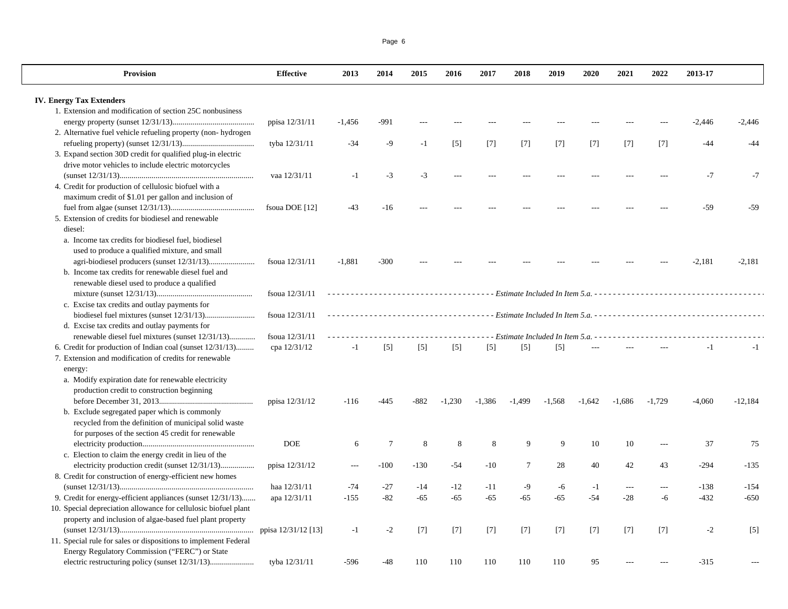| <b>Provision</b>                                                | <b>Effective</b> | 2013     | 2014            | 2015   | 2016              | 2017              | 2018                                                               | 2019              | 2020              | 2021     | 2022           | 2013-17  |           |
|-----------------------------------------------------------------|------------------|----------|-----------------|--------|-------------------|-------------------|--------------------------------------------------------------------|-------------------|-------------------|----------|----------------|----------|-----------|
| <b>IV. Energy Tax Extenders</b>                                 |                  |          |                 |        |                   |                   |                                                                    |                   |                   |          |                |          |           |
| 1. Extension and modification of section 25C nonbusiness        |                  |          |                 |        |                   |                   |                                                                    |                   |                   |          |                |          |           |
|                                                                 | ppisa 12/31/11   | $-1,456$ | $-991$          |        |                   |                   |                                                                    |                   |                   |          |                |          | $-2,446$  |
| 2. Alternative fuel vehicle refueling property (non-hydrogen)   |                  |          |                 |        |                   |                   |                                                                    |                   |                   |          |                | -2,446   |           |
|                                                                 |                  |          |                 |        |                   |                   |                                                                    |                   |                   |          |                | -44      | $-44$     |
| 3. Expand section 30D credit for qualified plug-in electric     | tyba 12/31/11    | $-34$    | -9              | $-1$   | $\lceil 5 \rceil$ | [7]               | $[7]$                                                              | $\lceil 7 \rceil$ | $\lceil 7 \rceil$ | [7]      | $[7]$          |          |           |
| drive motor vehicles to include electric motorcycles            |                  |          |                 |        |                   |                   |                                                                    |                   |                   |          |                |          |           |
|                                                                 |                  |          | $-3$            | $-3$   |                   |                   |                                                                    |                   |                   |          |                | $-7$     | $-7$      |
|                                                                 | vaa 12/31/11     | $-1$     |                 |        |                   |                   |                                                                    |                   |                   |          |                |          |           |
| 4. Credit for production of cellulosic biofuel with a           |                  |          |                 |        |                   |                   |                                                                    |                   |                   |          |                |          |           |
| maximum credit of \$1.01 per gallon and inclusion of            |                  |          |                 |        |                   |                   |                                                                    |                   |                   |          |                |          |           |
|                                                                 | fsoua DOE [12]   | $-43$    | $-16$           |        |                   |                   |                                                                    |                   |                   |          |                | -59      | $-59$     |
| 5. Extension of credits for biodiesel and renewable<br>diesel:  |                  |          |                 |        |                   |                   |                                                                    |                   |                   |          |                |          |           |
| a. Income tax credits for biodiesel fuel, biodiesel             |                  |          |                 |        |                   |                   |                                                                    |                   |                   |          |                |          |           |
| used to produce a qualified mixture, and small                  |                  |          |                 |        |                   |                   |                                                                    |                   |                   |          |                |          |           |
|                                                                 | fsoua 12/31/11   | $-1,881$ | $-300$          |        |                   |                   |                                                                    |                   |                   |          |                | $-2,181$ | $-2,181$  |
| b. Income tax credits for renewable diesel fuel and             |                  |          |                 |        |                   |                   |                                                                    |                   |                   |          |                |          |           |
| renewable diesel used to produce a qualified                    |                  |          |                 |        |                   |                   |                                                                    |                   |                   |          |                |          |           |
|                                                                 | fsoua 12/31/11   |          |                 |        |                   |                   |                                                                    |                   |                   |          |                |          |           |
| c. Excise tax credits and outlay payments for                   |                  |          |                 |        |                   |                   |                                                                    |                   |                   |          |                |          |           |
|                                                                 | fsoua 12/31/11   |          |                 |        |                   |                   |                                                                    |                   |                   |          |                |          |           |
| d. Excise tax credits and outlay payments for                   |                  |          |                 |        |                   |                   |                                                                    |                   |                   |          |                |          |           |
| renewable diesel fuel mixtures (sunset 12/31/13)                | fsoua 12/31/11   |          |                 |        |                   |                   | - - Estimate Included In Item 5.a. - - - - - - - - - - - - - - - - |                   |                   |          |                |          |           |
| 6. Credit for production of Indian coal (sunset 12/31/13)       | cpa 12/31/12     | $-1$     | $[5]$           | $[5]$  | $[5]$             | $\lceil 5 \rceil$ | [5]                                                                | [5]               |                   |          |                | $-1$     | $-1$      |
| 7. Extension and modification of credits for renewable          |                  |          |                 |        |                   |                   |                                                                    |                   |                   |          |                |          |           |
| energy:                                                         |                  |          |                 |        |                   |                   |                                                                    |                   |                   |          |                |          |           |
| a. Modify expiration date for renewable electricity             |                  |          |                 |        |                   |                   |                                                                    |                   |                   |          |                |          |           |
| production credit to construction beginning                     |                  |          |                 |        |                   |                   |                                                                    |                   |                   |          |                |          |           |
|                                                                 | ppisa 12/31/12   | $-116$   | $-445$          | $-882$ | $-1.230$          | $-1,386$          | $-1.499$                                                           | $-1.568$          | $-1.642$          | $-1.686$ | $-1.729$       | $-4,060$ | $-12,184$ |
| b. Exclude segregated paper which is commonly                   |                  |          |                 |        |                   |                   |                                                                    |                   |                   |          |                |          |           |
| recycled from the definition of municipal solid waste           |                  |          |                 |        |                   |                   |                                                                    |                   |                   |          |                |          |           |
| for purposes of the section 45 credit for renewable             |                  |          |                 |        |                   |                   |                                                                    |                   |                   |          |                |          |           |
|                                                                 | <b>DOE</b>       | 6        | $7\phantom{.0}$ | 8      | 8                 | 8                 | 9                                                                  | 9                 | 10                | 10       | $\overline{a}$ | 37       | 75        |
| c. Election to claim the energy credit in lieu of the           |                  |          |                 |        |                   |                   |                                                                    |                   |                   |          |                |          |           |
| electricity production credit (sunset 12/31/13)                 | ppisa 12/31/12   |          | $-100$          | $-130$ | $-54$             | $-10$             | $\overline{7}$                                                     | 28                | 40                | 42       | 43             | $-294$   | $-135$    |
| 8. Credit for construction of energy-efficient new homes        |                  |          |                 |        |                   |                   |                                                                    |                   |                   |          |                |          |           |
|                                                                 | haa 12/31/11     | $-74$    | $-27$           | $-14$  | $-12$             | $-11$             | $-9$                                                               | -6                | $-1$              | $---$    | $---$          | $-138$   | $-154$    |
| 9. Credit for energy-efficient appliances (sunset 12/31/13)     |                  | $-155$   | $-82$           | $-65$  | $-65$             | $-65$             | $-65$                                                              | $-65$             | $-54$             | $-28$    |                | $-432$   | $-650$    |
|                                                                 | apa 12/31/11     |          |                 |        |                   |                   |                                                                    |                   |                   |          | -6             |          |           |
| 10. Special depreciation allowance for cellulosic biofuel plant |                  |          |                 |        |                   |                   |                                                                    |                   |                   |          |                |          |           |
| property and inclusion of algae-based fuel plant property       |                  |          |                 |        |                   |                   |                                                                    |                   |                   |          |                |          |           |
|                                                                 |                  | $-1$     | $-2$            | $[7]$  | $[7]$             | $[7]$             | $[7]$                                                              | $[7]$             | $[7]$             | [7]      | $[7]$          | $-2$     | $[5]$     |
| 11. Special rule for sales or dispositions to implement Federal |                  |          |                 |        |                   |                   |                                                                    |                   |                   |          |                |          |           |
| Energy Regulatory Commission ("FERC") or State                  |                  |          |                 |        |                   |                   |                                                                    |                   |                   |          |                |          |           |
|                                                                 | tyba 12/31/11    | $-596$   | $-48$           | 110    | 110               | 110               | 110                                                                | 110               | 95                |          |                | $-315$   |           |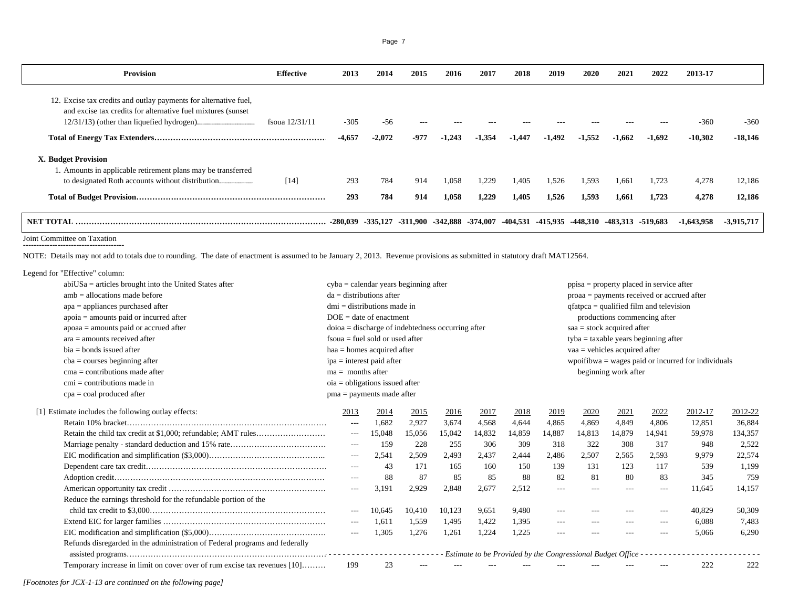| <b>Provision</b>                                                                         | <b>Effective</b> | 2013     | 2014     | 2015  | 2016     | 2017     | 2018     | 2019     | 2020     | 2021     | 2022              | 2013-17      |            |
|------------------------------------------------------------------------------------------|------------------|----------|----------|-------|----------|----------|----------|----------|----------|----------|-------------------|--------------|------------|
| 12. Excise tax credits and outlay payments for alternative fuel,                         |                  |          |          |       |          |          |          |          |          |          |                   |              |            |
| and excise tax credits for alternative fuel mixtures (sunset)                            | fsoua 12/31/11   | $-305$   | $-56$    | $---$ |          |          |          |          |          |          |                   | $-360$       | $-360$     |
|                                                                                          |                  | $-4,657$ | $-2,072$ | -977  | $-1,243$ | $-1,354$ | $-1,447$ | $-1,492$ | $-1,552$ | $-1.662$ | $-1,692$          | $-10,302$    | $-18,146$  |
| X. Budget Provision                                                                      |                  |          |          |       |          |          |          |          |          |          |                   |              |            |
| 1. Amounts in applicable retirement plans may be transferred                             | $[14]$           | 293      | 784      | 914   | 1,058    | 1,229    | 1,405    | 1,526    | 1,593    | 1.661    | 1,723             | 4,278        | 12,186     |
|                                                                                          |                  | 293      | 784      | 914   | 1,058    | 1,229    | 1,405    | 1,526    | 1,593    | 1.661    | 1,723             | 4,278        | 12,186     |
| NET TOTAL ……………………………………………………………………………………… -280,039 -335,127 -311,900 -342,888 -374,007 |                  |          |          |       |          |          | -404.531 | -415.935 | -448.310 |          | -483,313 -519,683 | $-1.643.958$ | -3.915.717 |

Page 7

Joint Committee on Taxation --------------------------------------

NOTE: Details may not add to totals due to rounding. The date of enactment is assumed to be January 2, 2013. Revenue provisions as submitted in statutory draft MAT12564.

| Legend for "Effective" column:                      |                                                                             |                                                     |        |        |        |                              |        |                                           |                                                                |                      |                                            |         |         |  |  |
|-----------------------------------------------------|-----------------------------------------------------------------------------|-----------------------------------------------------|--------|--------|--------|------------------------------|--------|-------------------------------------------|----------------------------------------------------------------|----------------------|--------------------------------------------|---------|---------|--|--|
|                                                     | $abiUSa =$ articles brought into the United States after                    | cyba = calendar years beginning after               |        |        |        |                              |        |                                           |                                                                |                      | $ppisa = property placed in service after$ |         |         |  |  |
| $amb = allocations made before$                     |                                                                             | $da =$ distributions after                          |        |        |        |                              |        |                                           |                                                                |                      | proaa = payments received or accrued after |         |         |  |  |
| $apa = appliances purchased after$                  |                                                                             | $dmi =$ distributions made in                       |        |        |        |                              |        | $qfatpca = qualified film and television$ |                                                                |                      |                                            |         |         |  |  |
| $apoia = amounts paid or incurred after$            |                                                                             | $DOE = date of enactment$                           |        |        |        | productions commencing after |        |                                           |                                                                |                      |                                            |         |         |  |  |
| $apoaa =$ amounts paid or accrued after             |                                                                             | $doioa = discharge of indebtedness occurring after$ |        |        |        |                              |        |                                           | $saa = stock acquired after$                                   |                      |                                            |         |         |  |  |
| $ara =$ amounts received after                      |                                                                             | $f_{\text{s}0} = f_{\text{u}0}$ sold or used after  |        |        |        |                              |        |                                           | $tyba = taxable years beginning after$                         |                      |                                            |         |         |  |  |
| $bia = bonds$ issued after                          |                                                                             | $haa = homes$ acquired after                        |        |        |        |                              |        |                                           | $vaa =$ vehicles acquired after                                |                      |                                            |         |         |  |  |
| $cba = courses beginning after$                     |                                                                             | $ipa = interest$ paid after                         |        |        |        |                              |        |                                           | wpoifibwa $=$ wages paid or incurred for individuals           |                      |                                            |         |         |  |  |
| $cma =$ contributions made after                    |                                                                             | $ma =$ months after                                 |        |        |        |                              |        |                                           |                                                                | beginning work after |                                            |         |         |  |  |
| $cmi =$ contributions made in                       |                                                                             | $oia = obligations$ issued after                    |        |        |        |                              |        |                                           |                                                                |                      |                                            |         |         |  |  |
| $cpa = coal$ produced after                         |                                                                             | $pma = payments$ made after                         |        |        |        |                              |        |                                           |                                                                |                      |                                            |         |         |  |  |
| [1] Estimate includes the following outlay effects: |                                                                             | 2013                                                | 2014   | 2015   | 2016   | 2017                         | 2018   | 2019                                      | 2020                                                           | 2021                 | 2022                                       | 2012-17 | 2012-22 |  |  |
|                                                     |                                                                             | $---$                                               | 1,682  | 2,927  | 3,674  | 4,568                        | 4,644  | 4,865                                     | 4,869                                                          | 4,849                | 4,806                                      | 12,851  | 36,884  |  |  |
|                                                     |                                                                             | $\cdots$                                            | 15.048 | 15,056 | 15,042 | 14,832                       | 14,859 | 14,887                                    | 14,813                                                         | 14,879               | 14.941                                     | 59,978  | 134,357 |  |  |
|                                                     |                                                                             | $---$                                               | 159    | 228    | 255    | 306                          | 309    | 318                                       | 322                                                            | 308                  | 317                                        | 948     | 2,522   |  |  |
|                                                     |                                                                             | $\cdots$                                            | 2,541  | 2,509  | 2,493  | 2,437                        | 2,444  | 2,486                                     | 2,507                                                          | 2,565                | 2,593                                      | 9,979   | 22,574  |  |  |
|                                                     |                                                                             | $---$                                               | 43     | 171    | 165    | 160                          | 150    | 139                                       | 131                                                            | 123                  | 117                                        | 539     | 1,199   |  |  |
|                                                     |                                                                             |                                                     | 88     | 87     | 85     | 85                           | 88     | 82                                        | 81                                                             | 80                   | 83                                         | 345     | 759     |  |  |
|                                                     |                                                                             | $\cdots$                                            | 3,191  | 2,929  | 2,848  | 2,677                        | 2,512  | $---$                                     | $\cdots$                                                       | $- - -$              | $---$                                      | 11.645  | 14,157  |  |  |
|                                                     | Reduce the earnings threshold for the refundable portion of the             |                                                     |        |        |        |                              |        |                                           |                                                                |                      |                                            |         |         |  |  |
|                                                     |                                                                             | $---$                                               | 10.645 | 10,410 | 10,123 | 9,651                        | 9,480  | $---$                                     | $---$                                                          | ---                  | $---$                                      | 40,829  | 50,309  |  |  |
|                                                     |                                                                             | $\cdots$                                            | 1,611  | 1,559  | 1,495  | 1,422                        | 1,395  | $\cdots$                                  | $\cdots$                                                       | $---$                |                                            | 6,088   | 7,483   |  |  |
|                                                     |                                                                             | $---$                                               | 1,305  | 1,276  | 1,261  | 1,224                        | 1,225  | $---$                                     | $- - -$                                                        | $- - -$              | $- - -$                                    | 5.066   | 6,290   |  |  |
|                                                     | Refunds disregarded in the administration of Federal programs and federally |                                                     |        |        |        |                              |        |                                           | Estimate to be Provided by the Congressional Budget Office - - |                      |                                            |         |         |  |  |
|                                                     | Temporary increase in limit on cover over of rum excise tax revenues [10]   | 199                                                 | 23     |        |        |                              |        |                                           |                                                                |                      |                                            | 222     | 222     |  |  |

*[Footnotes for JCX-1-13 are continued on the following page]*